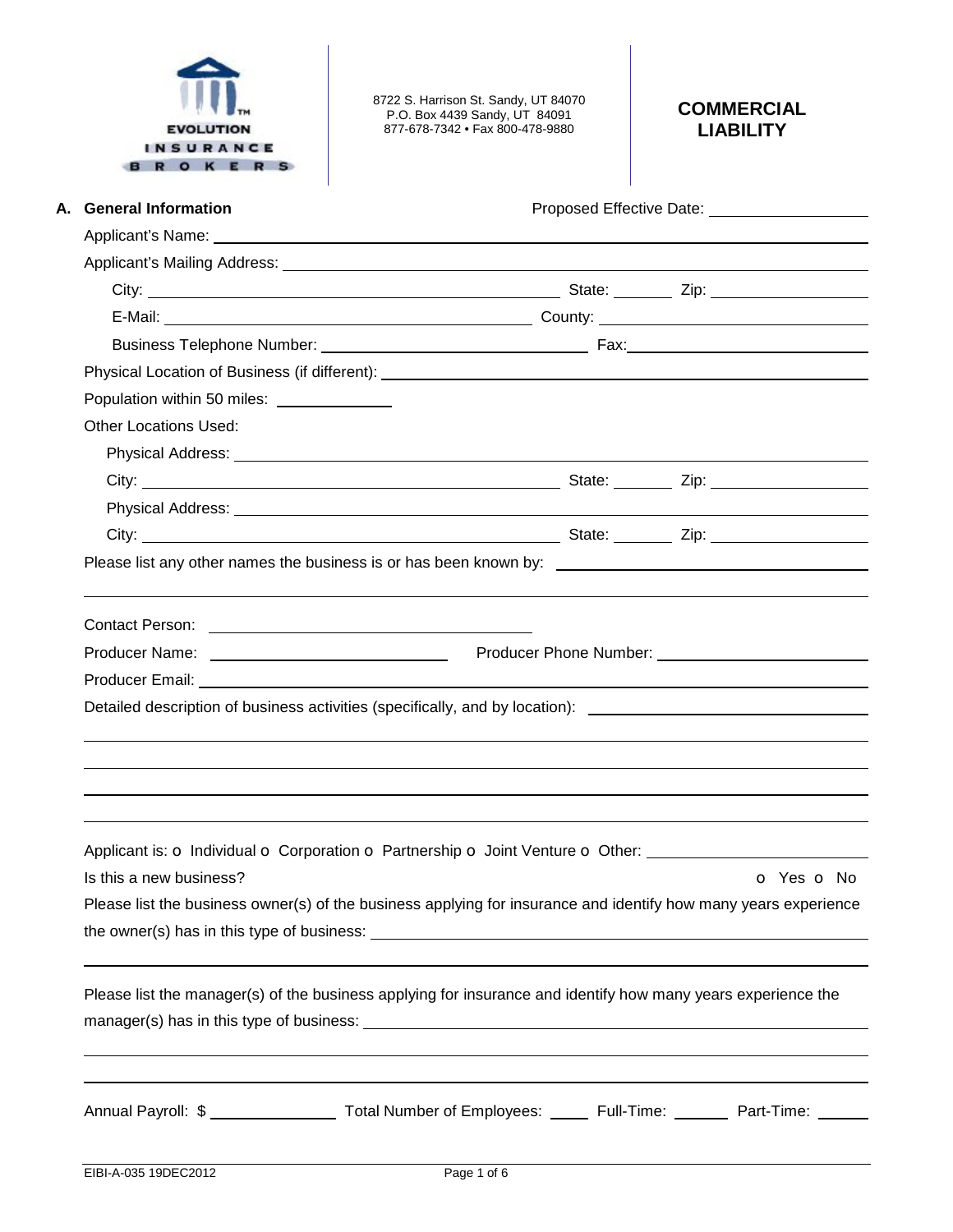

8722 S. Harrison St. Sandy, UT 84070 P.O. Box 4439 Sandy, UT 84091 877-678-7342 • Fax 800-478-9880

## **COMMERCIAL LIABILITY**

| A. General Information                    |                                                                                                                                                                                                                                                                                                                                                      | Proposed Effective Date: 2000 2012 2022 2023 |
|-------------------------------------------|------------------------------------------------------------------------------------------------------------------------------------------------------------------------------------------------------------------------------------------------------------------------------------------------------------------------------------------------------|----------------------------------------------|
|                                           | Applicant's Name: <u>example and a series of the series of the series of the series of the series of the series of the series of the series of the series of the series of the series of the series of the series of the series </u>                                                                                                                 |                                              |
|                                           |                                                                                                                                                                                                                                                                                                                                                      |                                              |
|                                           |                                                                                                                                                                                                                                                                                                                                                      |                                              |
|                                           |                                                                                                                                                                                                                                                                                                                                                      |                                              |
|                                           |                                                                                                                                                                                                                                                                                                                                                      |                                              |
|                                           |                                                                                                                                                                                                                                                                                                                                                      |                                              |
| Population within 50 miles: _____________ |                                                                                                                                                                                                                                                                                                                                                      |                                              |
| <b>Other Locations Used:</b>              |                                                                                                                                                                                                                                                                                                                                                      |                                              |
|                                           |                                                                                                                                                                                                                                                                                                                                                      |                                              |
|                                           |                                                                                                                                                                                                                                                                                                                                                      |                                              |
|                                           |                                                                                                                                                                                                                                                                                                                                                      |                                              |
|                                           |                                                                                                                                                                                                                                                                                                                                                      |                                              |
|                                           | Please list any other names the business is or has been known by: __________________________________                                                                                                                                                                                                                                                 |                                              |
|                                           | Producer Name: <u>Name: Name: Name: Name: Name of August 2014</u> Producer Phone Number: Name of Name of Name of Name of Name of Name of Name of Name of Name of Name of Name of Name of Name of Name of Name of Name of Name of Na<br>Detailed description of business activities (specifically, and by location): ________________________________ |                                              |
|                                           |                                                                                                                                                                                                                                                                                                                                                      |                                              |
| Is this a new business?                   | Applicant is: o Individual o Corporation o Partnership o Joint Venture o Other:                                                                                                                                                                                                                                                                      | O Yes O No                                   |
|                                           | Please list the business owner(s) of the business applying for insurance and identify how many years experience                                                                                                                                                                                                                                      |                                              |
|                                           |                                                                                                                                                                                                                                                                                                                                                      |                                              |
|                                           | Please list the manager(s) of the business applying for insurance and identify how many years experience the                                                                                                                                                                                                                                         |                                              |
|                                           | Annual Payroll: \$ ______________________ Total Number of Employees: _______ Full-Time: _________ Part-Time: ______                                                                                                                                                                                                                                  |                                              |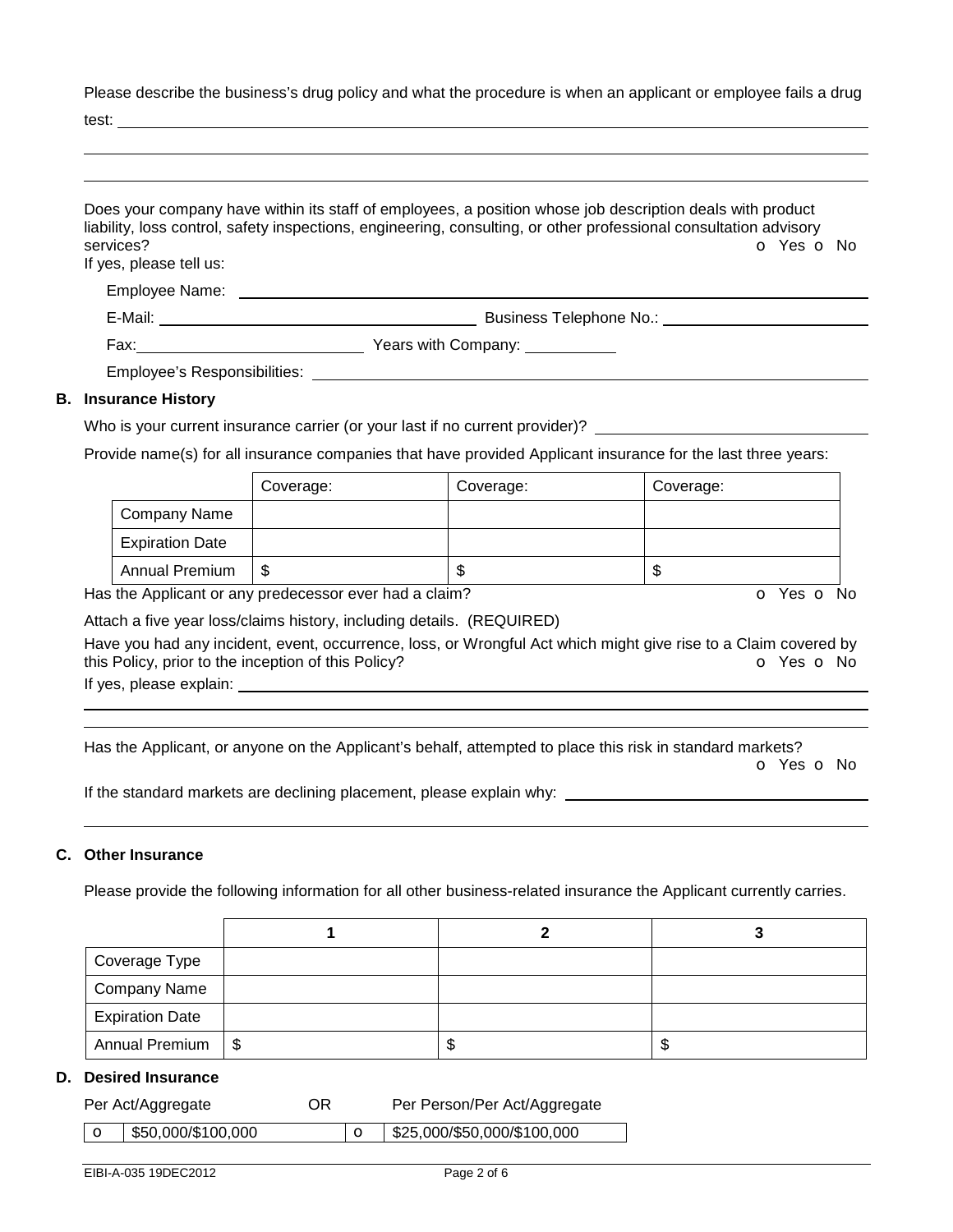Please describe the business's drug policy and what the procedure is when an applicant or employee fails a drug

test:

|                                                                              | Does your company have within its staff of employees, a position whose job description deals with product<br>liability, loss control, safety inspections, engineering, consulting, or other professional consultation advisory |
|------------------------------------------------------------------------------|--------------------------------------------------------------------------------------------------------------------------------------------------------------------------------------------------------------------------------|
| services?<br>If yes, please tell us:                                         | O Yes O No                                                                                                                                                                                                                     |
|                                                                              |                                                                                                                                                                                                                                |
|                                                                              |                                                                                                                                                                                                                                |
|                                                                              |                                                                                                                                                                                                                                |
|                                                                              | Employee's Responsibilities: Weblater and the control of the control of the control of the control of the control of the control of the control of the control of the control of the control of the control of the control of  |
| <b>B.</b> Insurance History                                                  |                                                                                                                                                                                                                                |
| Who is your surrent insurance carrier (or your lost if no surrent provider)? |                                                                                                                                                                                                                                |

## Who is your current insurance carrier (or your last if no current provider)?

Provide name(s) for all insurance companies that have provided Applicant insurance for the last three years:

|                        | Coverage: | Coverage: | Coverage: |
|------------------------|-----------|-----------|-----------|
| Company Name           |           |           |           |
| <b>Expiration Date</b> |           |           |           |
| <b>Annual Premium</b>  | S         | ጥ<br>۰D   | D         |

Has the Applicant or any predecessor ever had a claim? The Contract of Monocomusic Contract of No. The Contract O

Attach a five year loss/claims history, including details. (REQUIRED)

Have you had any incident, event, occurrence, loss, or Wrongful Act which might give rise to a Claim covered by this Policy, prior to the inception of this Policy? **o Yes o No** Yes **o** No

If yes, please explain:

 

Has the Applicant, or anyone on the Applicant's behalf, attempted to place this risk in standard markets?

o Yes o No

If the standard markets are declining placement, please explain why:

#### **C. Other Insurance**

Please provide the following information for all other business-related insurance the Applicant currently carries.

| Coverage Type          |    |    |
|------------------------|----|----|
| Company Name           |    |    |
| <b>Expiration Date</b> |    |    |
| Annual Premium   \$    | ъD | ъD |

#### **D. Desired Insurance**

| Per Act/Aggregate                | OR | Per Person/Per Act/Aggregate |  |
|----------------------------------|----|------------------------------|--|
| $\frac{1}{2}$ \$50,000/\$100,000 |    | \$25,000/\$50,000/\$100,000  |  |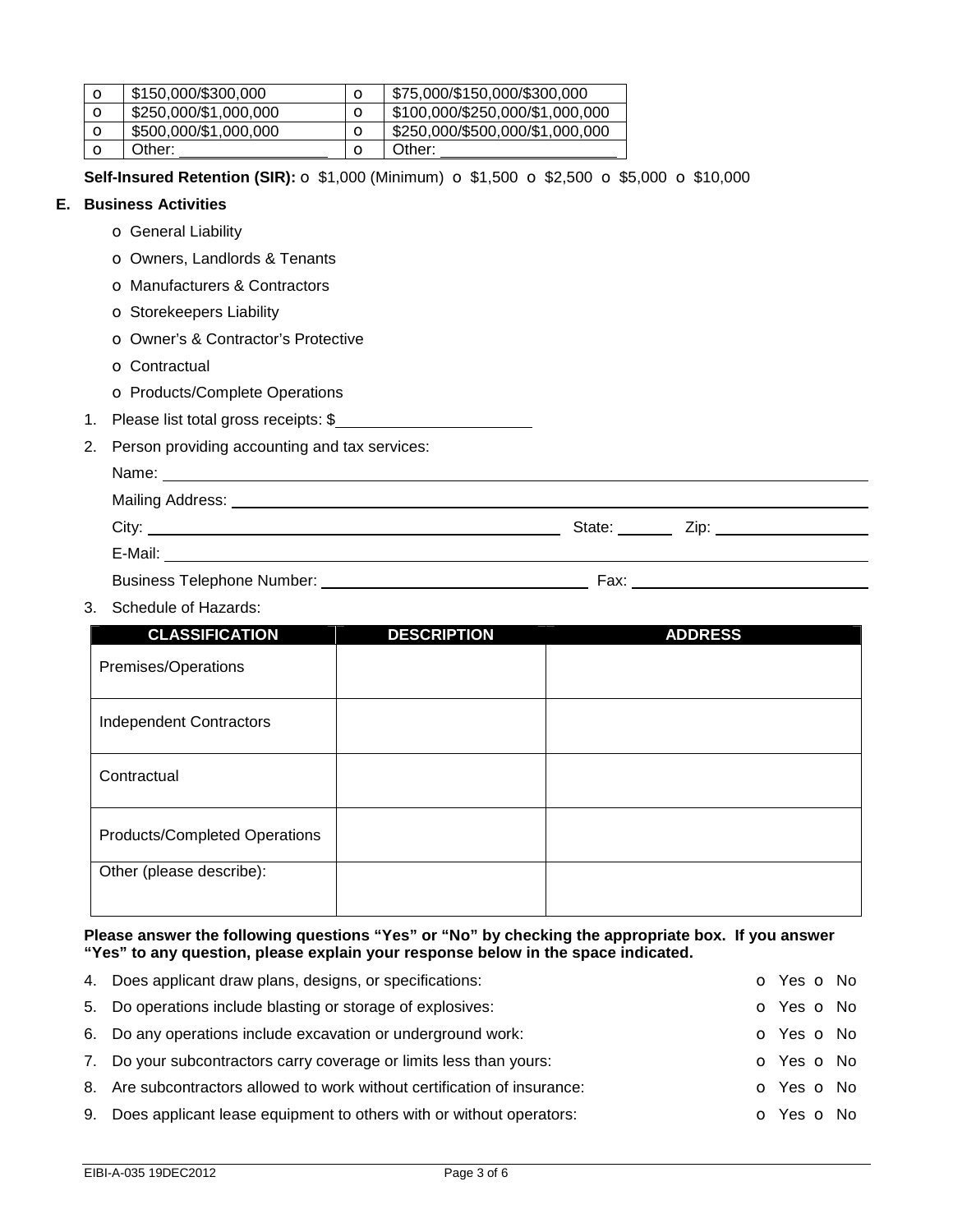| O       | \$150,000/\$300,000   | \$75,000/\$150,000/\$300,000    |
|---------|-----------------------|---------------------------------|
| O       | \$250,000/\$1,000,000 | \$100,000/\$250,000/\$1,000,000 |
| $\circ$ | \$500,000/\$1,000,000 | \$250,000/\$500,000/\$1,000,000 |
|         | Other:                | Other:                          |

**Self-Insured Retention (SIR):** o \$1,000 (Minimum) o \$1,500 o \$2,500 o \$5,000 o \$10,000

### **E. Business Activities**

- o General Liability
- o Owners, Landlords & Tenants
- o Manufacturers & Contractors
- o Storekeepers Liability
- o Owner's & Contractor's Protective
- o Contractual
- o Products/Complete Operations
- 1. Please list total gross receipts: \$
- 2. Person providing accounting and tax services:

| Mailing Address: Universe Present and Present and Present and Present and Present and Present and Present and P |                                           |
|-----------------------------------------------------------------------------------------------------------------|-------------------------------------------|
|                                                                                                                 | State: ______ Zip: ______________________ |
| E-Mail:<br><u> 1980 - Jan Stein Berlin, amerikan berlindar (</u>                                                |                                           |
| <b>Business Telephone Number:</b>                                                                               | Fax:                                      |

3. Schedule of Hazards:

| <b>CLASSIFICATION</b>          | <b>DESCRIPTION</b> | <b>ADDRESS</b> |
|--------------------------------|--------------------|----------------|
| Premises/Operations            |                    |                |
| <b>Independent Contractors</b> |                    |                |
| Contractual                    |                    |                |
| Products/Completed Operations  |                    |                |
| Other (please describe):       |                    |                |

**Please answer the following questions "Yes" or "No" by checking the appropriate box. If you answer "Yes" to any question, please explain your response below in the space indicated.** 

| 4. Does applicant draw plans, designs, or specifications:                 | o Yes o No               |
|---------------------------------------------------------------------------|--------------------------|
| 5. Do operations include blasting or storage of explosives:               | <b>O</b> Yes <b>O</b> No |
| 6. Do any operations include excavation or underground work:              | o Yes o No               |
| 7. Do your subcontractors carry coverage or limits less than yours:       | o Yes o No               |
| 8. Are subcontractors allowed to work without certification of insurance: | o Yes o No               |
| 9. Does applicant lease equipment to others with or without operators:    | o Yes o No               |
|                                                                           |                          |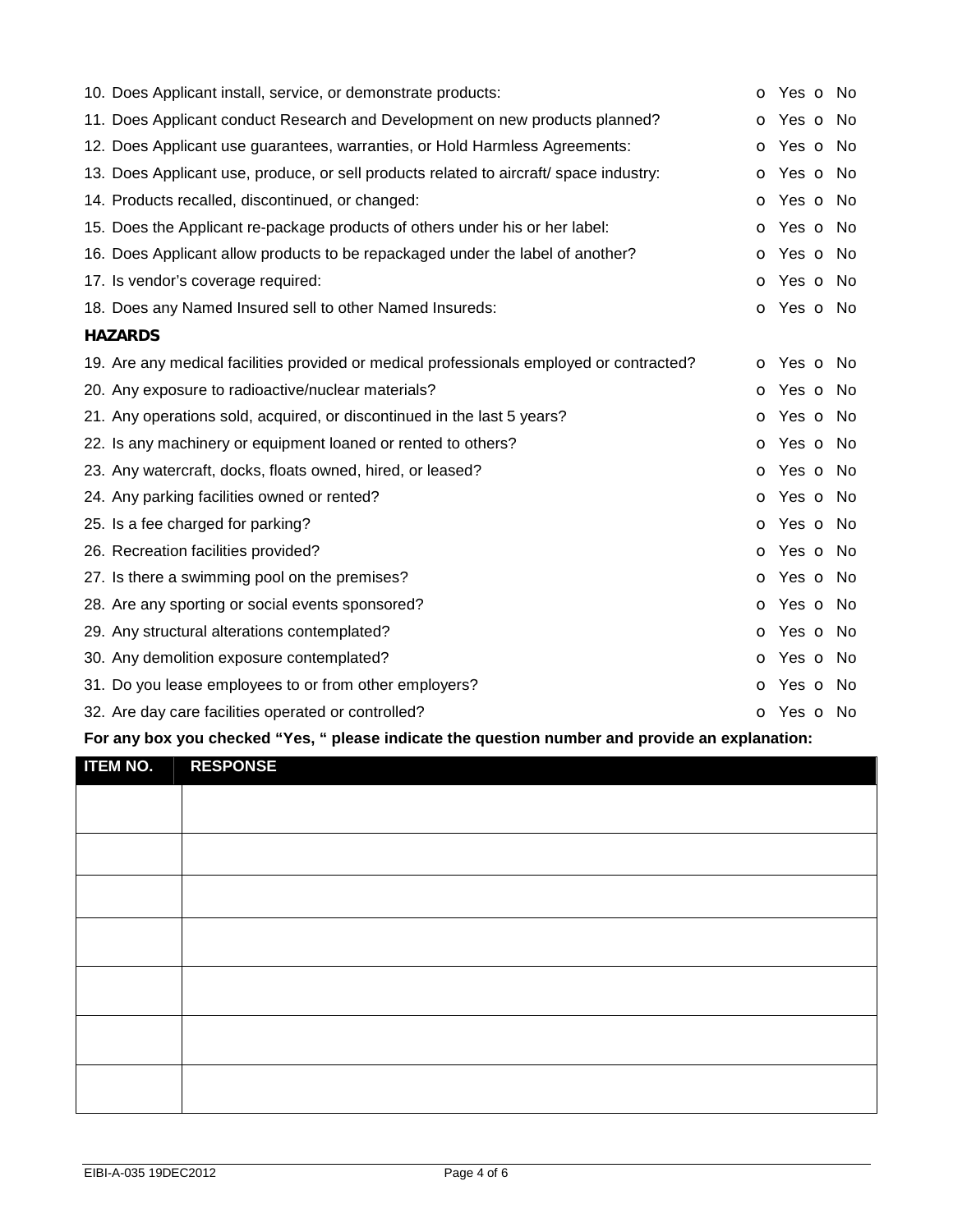| 10. Does Applicant install, service, or demonstrate products:                            | o Yes o No               |
|------------------------------------------------------------------------------------------|--------------------------|
| 11. Does Applicant conduct Research and Development on new products planned?             | o Yes o No               |
| 12. Does Applicant use guarantees, warranties, or Hold Harmless Agreements:              | <b>o</b> Yes <b>o</b> No |
| 13. Does Applicant use, produce, or sell products related to aircraft/ space industry:   | o Yes o No               |
| 14. Products recalled, discontinued, or changed:                                         | <b>o</b> Yes <b>o</b> No |
| 15. Does the Applicant re-package products of others under his or her label:             | o Yes o No               |
| 16. Does Applicant allow products to be repackaged under the label of another?           | o Yes o No               |
| 17. Is vendor's coverage required:                                                       | o Yes o No               |
| 18. Does any Named Insured sell to other Named Insureds:                                 | o Yes o No               |
| <b>HAZARDS</b>                                                                           |                          |
| 19. Are any medical facilities provided or medical professionals employed or contracted? | o Yes o No               |
| 20. Any exposure to radioactive/nuclear materials?                                       | <b>o</b> Yes <b>o</b> No |
| 21. Any operations sold, acquired, or discontinued in the last 5 years?                  | o Yes o No               |
| 22. Is any machinery or equipment loaned or rented to others?                            | o Yes o No               |
| 23. Any watercraft, docks, floats owned, hired, or leased?                               | <b>o</b> Yes <b>o</b> No |
| 24. Any parking facilities owned or rented?                                              | o Yes o No               |
| 25. Is a fee charged for parking?                                                        | o Yes o No               |
| 26. Recreation facilities provided?                                                      | o Yes o No               |
| 27. Is there a swimming pool on the premises?                                            | o Yes o No               |
| 28. Are any sporting or social events sponsored?                                         | o Yes o No               |
| 29. Any structural alterations contemplated?                                             | o Yes o No               |
| 30. Any demolition exposure contemplated?                                                | o Yes o No               |
| 31. Do you lease employees to or from other employers?                                   | o Yes o No               |
| 32. Are day care facilities operated or controlled?                                      | O Yes O No               |

# **For any box you checked "Yes, " please indicate the question number and provide an explanation:**

| <b>ITEM NO. RESPONSE</b> |  |
|--------------------------|--|
|                          |  |
|                          |  |
|                          |  |
|                          |  |
|                          |  |
|                          |  |
|                          |  |
|                          |  |
|                          |  |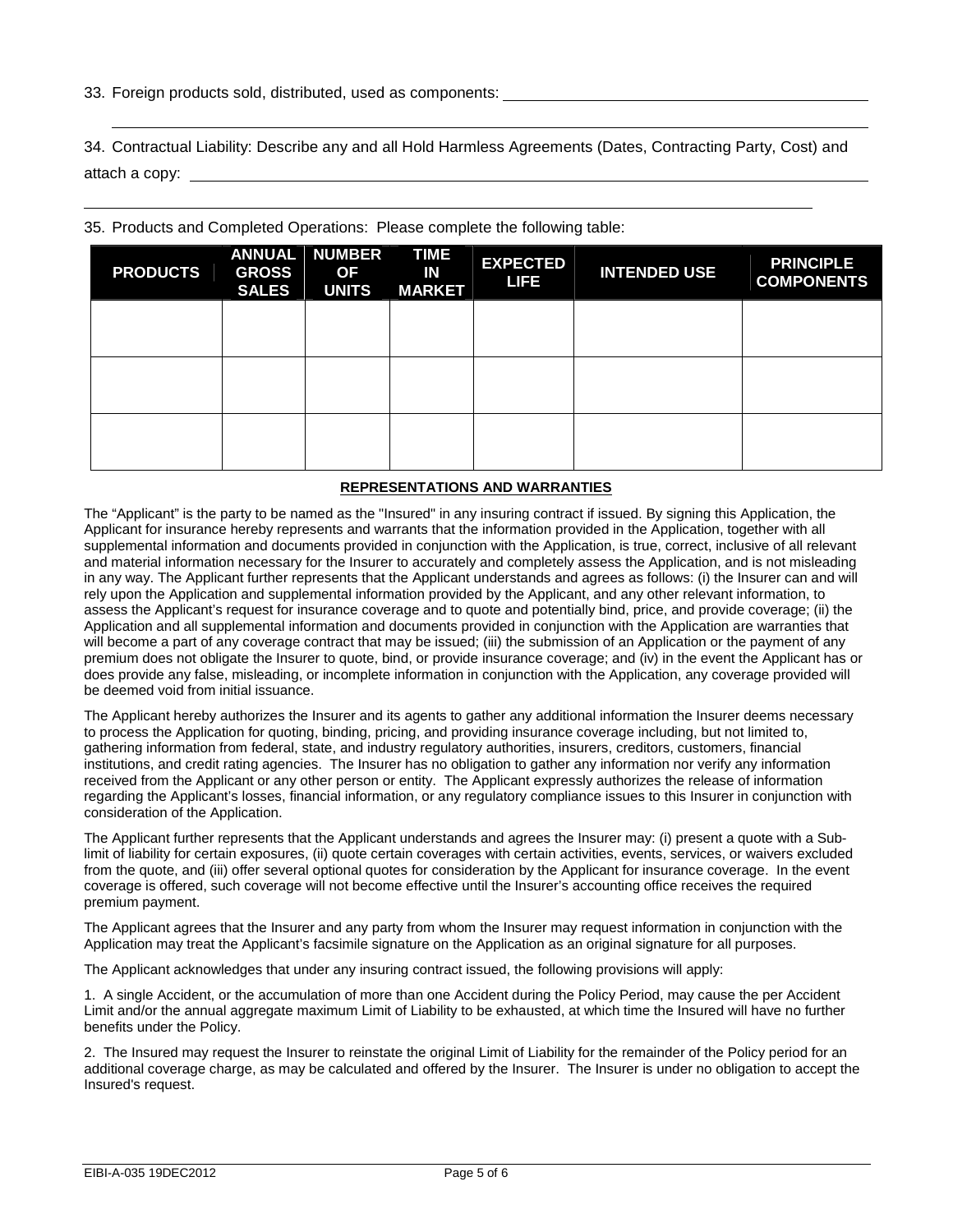33. Foreign products sold, distributed, used as components:

34. Contractual Liability: Describe any and all Hold Harmless Agreements (Dates, Contracting Party, Cost) and attach a copy: \_

| 35. Products and Completed Operations: Please complete the following table: |  |  |  |
|-----------------------------------------------------------------------------|--|--|--|
|                                                                             |  |  |  |

| <b>PRODUCTS</b> | <b>ANNUAL</b><br><b>GROSS</b><br><b>SALES</b> | <b>NUMBER</b><br><b>OF</b><br><b>UNITS</b> | <b>TIME</b><br>IN<br><b>MARKET</b> | <b>EXPECTED</b><br>LIFE | <b>INTENDED USE</b> | <b>PRINCIPLE</b><br><b>COMPONENTS</b> |
|-----------------|-----------------------------------------------|--------------------------------------------|------------------------------------|-------------------------|---------------------|---------------------------------------|
|                 |                                               |                                            |                                    |                         |                     |                                       |
|                 |                                               |                                            |                                    |                         |                     |                                       |
|                 |                                               |                                            |                                    |                         |                     |                                       |

#### **REPRESENTATIONS AND WARRANTIES**

The "Applicant" is the party to be named as the "Insured" in any insuring contract if issued. By signing this Application, the Applicant for insurance hereby represents and warrants that the information provided in the Application, together with all supplemental information and documents provided in conjunction with the Application, is true, correct, inclusive of all relevant and material information necessary for the Insurer to accurately and completely assess the Application, and is not misleading in any way. The Applicant further represents that the Applicant understands and agrees as follows: (i) the Insurer can and will rely upon the Application and supplemental information provided by the Applicant, and any other relevant information, to assess the Applicant's request for insurance coverage and to quote and potentially bind, price, and provide coverage; (ii) the Application and all supplemental information and documents provided in conjunction with the Application are warranties that will become a part of any coverage contract that may be issued; (iii) the submission of an Application or the payment of any premium does not obligate the Insurer to quote, bind, or provide insurance coverage; and (iv) in the event the Applicant has or does provide any false, misleading, or incomplete information in conjunction with the Application, any coverage provided will be deemed void from initial issuance.

The Applicant hereby authorizes the Insurer and its agents to gather any additional information the Insurer deems necessary to process the Application for quoting, binding, pricing, and providing insurance coverage including, but not limited to, gathering information from federal, state, and industry regulatory authorities, insurers, creditors, customers, financial institutions, and credit rating agencies. The Insurer has no obligation to gather any information nor verify any information received from the Applicant or any other person or entity. The Applicant expressly authorizes the release of information regarding the Applicant's losses, financial information, or any regulatory compliance issues to this Insurer in conjunction with consideration of the Application.

The Applicant further represents that the Applicant understands and agrees the Insurer may: (i) present a quote with a Sublimit of liability for certain exposures, (ii) quote certain coverages with certain activities, events, services, or waivers excluded from the quote, and (iii) offer several optional quotes for consideration by the Applicant for insurance coverage. In the event coverage is offered, such coverage will not become effective until the Insurer's accounting office receives the required premium payment.

The Applicant agrees that the Insurer and any party from whom the Insurer may request information in conjunction with the Application may treat the Applicant's facsimile signature on the Application as an original signature for all purposes.

The Applicant acknowledges that under any insuring contract issued, the following provisions will apply:

1. A single Accident, or the accumulation of more than one Accident during the Policy Period, may cause the per Accident Limit and/or the annual aggregate maximum Limit of Liability to be exhausted, at which time the Insured will have no further benefits under the Policy.

2. The Insured may request the Insurer to reinstate the original Limit of Liability for the remainder of the Policy period for an additional coverage charge, as may be calculated and offered by the Insurer. The Insurer is under no obligation to accept the Insured's request.